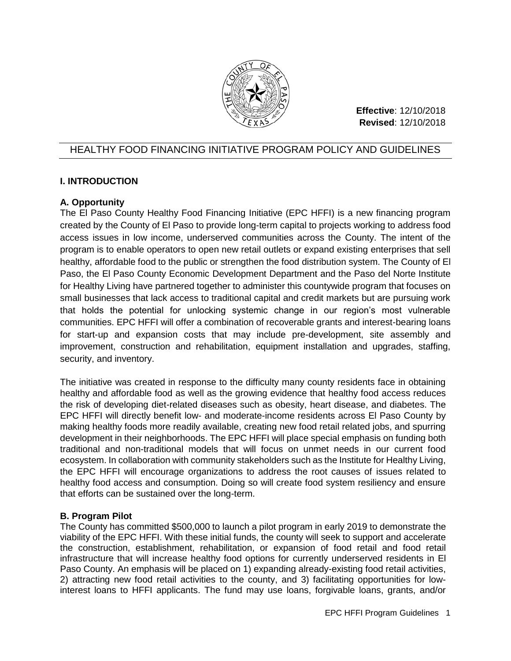

**Effective**: 12/10/2018 **Revised**: 12/10/2018

# HEALTHY FOOD FINANCING INITIATIVE PROGRAM POLICY AND GUIDELINES

# **I. INTRODUCTION**

# **A. Opportunity**

The El Paso County Healthy Food Financing Initiative (EPC HFFI) is a new financing program created by the County of El Paso to provide long-term capital to projects working to address food access issues in low income, underserved communities across the County. The intent of the program is to enable operators to open new retail outlets or expand existing enterprises that sell healthy, affordable food to the public or strengthen the food distribution system. The County of El Paso, the El Paso County Economic Development Department and the Paso del Norte Institute for Healthy Living have partnered together to administer this countywide program that focuses on small businesses that lack access to traditional capital and credit markets but are pursuing work that holds the potential for unlocking systemic change in our region's most vulnerable communities. EPC HFFI will offer a combination of recoverable grants and interest-bearing loans for start-up and expansion costs that may include pre-development, site assembly and improvement, construction and rehabilitation, equipment installation and upgrades, staffing, security, and inventory.

The initiative was created in response to the difficulty many county residents face in obtaining healthy and affordable food as well as the growing evidence that healthy food access reduces the risk of developing diet-related diseases such as obesity, heart disease, and diabetes. The EPC HFFI will directly benefit low- and moderate-income residents across El Paso County by making healthy foods more readily available, creating new food retail related jobs, and spurring development in their neighborhoods. The EPC HFFI will place special emphasis on funding both traditional and non-traditional models that will focus on unmet needs in our current food ecosystem. In collaboration with community stakeholders such as the Institute for Healthy Living, the EPC HFFI will encourage organizations to address the root causes of issues related to healthy food access and consumption. Doing so will create food system resiliency and ensure that efforts can be sustained over the long-term.

# **B. Program Pilot**

The County has committed \$500,000 to launch a pilot program in early 2019 to demonstrate the viability of the EPC HFFI. With these initial funds, the county will seek to support and accelerate the construction, establishment, rehabilitation, or expansion of food retail and food retail infrastructure that will increase healthy food options for currently underserved residents in El Paso County. An emphasis will be placed on 1) expanding already-existing food retail activities, 2) attracting new food retail activities to the county, and 3) facilitating opportunities for lowinterest loans to HFFI applicants. The fund may use loans, forgivable loans, grants, and/or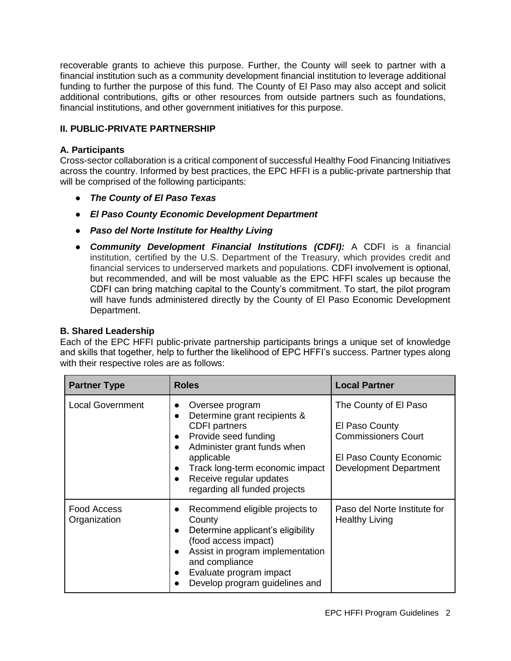recoverable grants to achieve this purpose. Further, the County will seek to partner with a financial institution such as a community development financial institution to leverage additional funding to further the purpose of this fund. The County of El Paso may also accept and solicit additional contributions, gifts or other resources from outside partners such as foundations, financial institutions, and other government initiatives for this purpose.

### **II. PUBLIC-PRIVATE PARTNERSHIP**

### **A. Participants**

Cross-sector collaboration is a critical component of successful Healthy Food Financing Initiatives across the country. Informed by best practices, the EPC HFFI is a public-private partnership that will be comprised of the following participants:

- *The County of El Paso Texas*
- *El Paso County Economic Development Department*
- *Paso del Norte Institute for Healthy Living*
- *Community Development Financial Institutions (CDFI):* A CDFI is a financial institution, certified by the U.S. Department of the Treasury, which provides credit and financial services to underserved markets and populations. CDFI involvement is optional, but recommended, and will be most valuable as the EPC HFFI scales up because the CDFI can bring matching capital to the County's commitment. To start, the pilot program will have funds administered directly by the County of El Paso Economic Development Department.

#### **B. Shared Leadership**

Each of the EPC HFFI public-private partnership participants brings a unique set of knowledge and skills that together, help to further the likelihood of EPC HFFI's success. Partner types along with their respective roles are as follows:

| <b>Partner Type</b>                | <b>Roles</b>                                                                                                                                                                                                                                                                                                              | <b>Local Partner</b>                                                                                                              |  |
|------------------------------------|---------------------------------------------------------------------------------------------------------------------------------------------------------------------------------------------------------------------------------------------------------------------------------------------------------------------------|-----------------------------------------------------------------------------------------------------------------------------------|--|
| <b>Local Government</b>            | Oversee program<br>$\bullet$<br>Determine grant recipients &<br>$\bullet$<br><b>CDFI</b> partners<br>Provide seed funding<br>$\bullet$<br>Administer grant funds when<br>$\bullet$<br>applicable<br>Track long-term economic impact<br>$\bullet$<br>Receive regular updates<br>$\bullet$<br>regarding all funded projects | The County of El Paso<br>El Paso County<br><b>Commissioners Court</b><br><b>El Paso County Economic</b><br>Development Department |  |
| <b>Food Access</b><br>Organization | Recommend eligible projects to<br>$\bullet$<br>County<br>Determine applicant's eligibility<br>$\bullet$<br>(food access impact)<br>Assist in program implementation<br>$\bullet$<br>and compliance<br>Evaluate program impact<br>$\bullet$<br>Develop program guidelines and                                              | Paso del Norte Institute for<br><b>Healthy Living</b>                                                                             |  |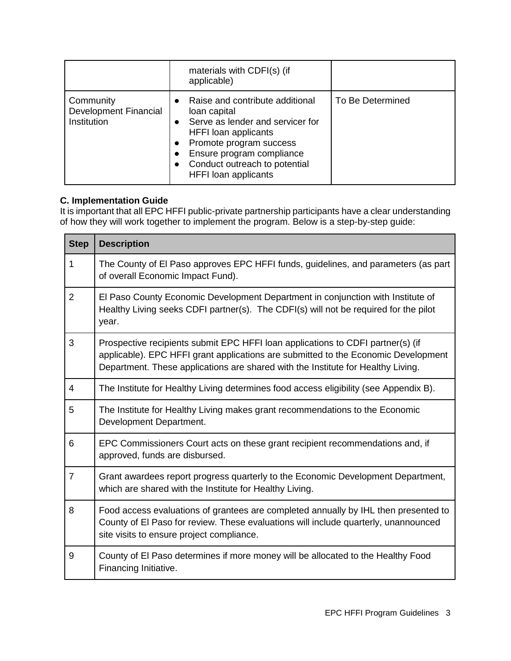|                                                          |                                     | materials with CDFI(s) (if<br>applicable)                                                                                                                                                                                           |                  |
|----------------------------------------------------------|-------------------------------------|-------------------------------------------------------------------------------------------------------------------------------------------------------------------------------------------------------------------------------------|------------------|
| Community<br><b>Development Financial</b><br>Institution | $\bullet$<br>$\bullet$<br>$\bullet$ | Raise and contribute additional<br>loan capital<br>Serve as lender and servicer for<br>HFFI loan applicants<br>Promote program success<br>Ensure program compliance<br>Conduct outreach to potential<br><b>HFFI</b> loan applicants | To Be Determined |

# **C. Implementation Guide**

It is important that all EPC HFFI public-private partnership participants have a clear understanding of how they will work together to implement the program. Below is a step-by-step guide:

| <b>Step</b>    | <b>Description</b>                                                                                                                                                                                                                                        |
|----------------|-----------------------------------------------------------------------------------------------------------------------------------------------------------------------------------------------------------------------------------------------------------|
| 1              | The County of El Paso approves EPC HFFI funds, guidelines, and parameters (as part<br>of overall Economic Impact Fund).                                                                                                                                   |
| $\overline{2}$ | El Paso County Economic Development Department in conjunction with Institute of<br>Healthy Living seeks CDFI partner(s). The CDFI(s) will not be required for the pilot<br>year.                                                                          |
| 3              | Prospective recipients submit EPC HFFI loan applications to CDFI partner(s) (if<br>applicable). EPC HFFI grant applications are submitted to the Economic Development<br>Department. These applications are shared with the Institute for Healthy Living. |
| $\overline{4}$ | The Institute for Healthy Living determines food access eligibility (see Appendix B).                                                                                                                                                                     |
| 5              | The Institute for Healthy Living makes grant recommendations to the Economic<br>Development Department.                                                                                                                                                   |
| 6              | EPC Commissioners Court acts on these grant recipient recommendations and, if<br>approved, funds are disbursed.                                                                                                                                           |
| $\overline{7}$ | Grant awardees report progress quarterly to the Economic Development Department,<br>which are shared with the Institute for Healthy Living.                                                                                                               |
| 8              | Food access evaluations of grantees are completed annually by IHL then presented to<br>County of El Paso for review. These evaluations will include quarterly, unannounced<br>site visits to ensure project compliance.                                   |
| 9              | County of El Paso determines if more money will be allocated to the Healthy Food<br>Financing Initiative.                                                                                                                                                 |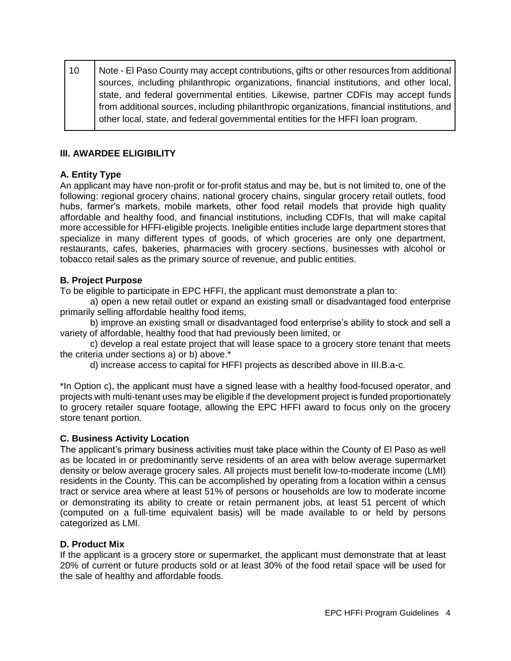10 Note - El Paso County may accept contributions, gifts or other resources from additional sources, including philanthropic organizations, financial institutions, and other local, state, and federal governmental entities. Likewise, partner CDFIs may accept funds from additional sources, including philanthropic organizations, financial institutions, and other local, state, and federal governmental entities for the HFFI loan program.

# **III. AWARDEE ELIGIBILITY**

# **A. Entity Type**

An applicant may have non-profit or for-profit status and may be, but is not limited to, one of the following: regional grocery chains, national grocery chains, singular grocery retail outlets, food hubs, farmer's markets, mobile markets, other food retail models that provide high quality affordable and healthy food, and financial institutions, including CDFIs, that will make capital more accessible for HFFI-eligible projects. Ineligible entities include large department stores that specialize in many different types of goods, of which groceries are only one department, restaurants, cafes, bakeries, pharmacies with grocery sections, businesses with alcohol or tobacco retail sales as the primary source of revenue, and public entities.

# **B. Project Purpose**

To be eligible to participate in EPC HFFI, the applicant must demonstrate a plan to:

a) open a new retail outlet or expand an existing small or disadvantaged food enterprise primarily selling affordable healthy food items,

b) improve an existing small or disadvantaged food enterprise's ability to stock and sell a variety of affordable, healthy food that had previously been limited, or

c) develop a real estate project that will lease space to a grocery store tenant that meets the criteria under sections a) or b) above.\*

d) increase access to capital for HFFI projects as described above in III.B.a-c.

\*In Option c), the applicant must have a signed lease with a healthy food-focused operator, and projects with multi-tenant uses may be eligible if the development project is funded proportionately to grocery retailer square footage, allowing the EPC HFFI award to focus only on the grocery store tenant portion.

### **C. Business Activity Location**

The applicant's primary business activities must take place within the County of El Paso as well as be located in or predominantly serve residents of an area with below average supermarket density or below average grocery sales. All projects must benefit low-to-moderate income (LMI) residents in the County. This can be accomplished by operating from a location within a census tract or service area where at least 51% of persons or households are low to moderate income or demonstrating its ability to create or retain permanent jobs, at least 51 percent of which (computed on a full-time equivalent basis) will be made available to or held by persons categorized as LMI.

### **D. Product Mix**

If the applicant is a grocery store or supermarket, the applicant must demonstrate that at least 20% of current or future products sold or at least 30% of the food retail space will be used for the sale of healthy and affordable foods.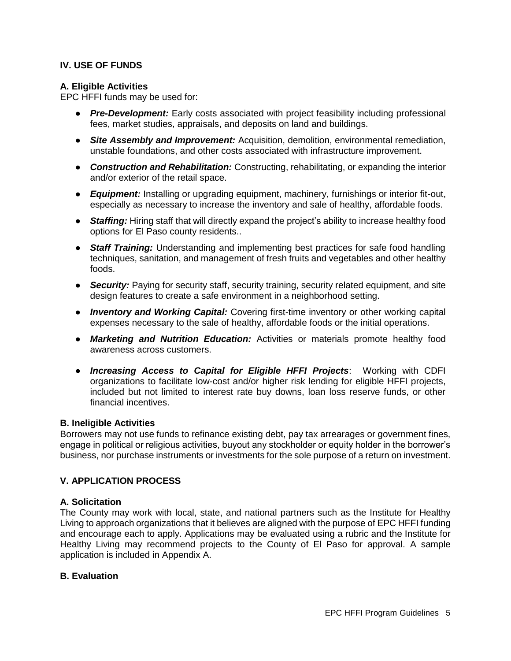### **IV. USE OF FUNDS**

#### **A. Eligible Activities**

EPC HFFI funds may be used for:

- *Pre-Development:* Early costs associated with project feasibility including professional fees, market studies, appraisals, and deposits on land and buildings.
- *Site Assembly and Improvement:* Acquisition, demolition, environmental remediation, unstable foundations, and other costs associated with infrastructure improvement.
- *Construction and Rehabilitation:* Constructing, rehabilitating, or expanding the interior and/or exterior of the retail space.
- *Equipment:* Installing or upgrading equipment, machinery, furnishings or interior fit-out, especially as necessary to increase the inventory and sale of healthy, affordable foods.
- **Staffing:** Hiring staff that will directly expand the project's ability to increase healthy food options for El Paso county residents..
- *Staff Training:* Understanding and implementing best practices for safe food handling techniques, sanitation, and management of fresh fruits and vegetables and other healthy foods.
- **Security:** Paying for security staff, security training, security related equipment, and site design features to create a safe environment in a neighborhood setting.
- *Inventory and Working Capital:* Covering first-time inventory or other working capital expenses necessary to the sale of healthy, affordable foods or the initial operations.
- *Marketing and Nutrition Education:* Activities or materials promote healthy food awareness across customers.
- *Increasing Access to Capital for Eligible HFFI Projects*: Working with CDFI organizations to facilitate low-cost and/or higher risk lending for eligible HFFI projects, included but not limited to interest rate buy downs, loan loss reserve funds, or other financial incentives.

#### **B. Ineligible Activities**

Borrowers may not use funds to refinance existing debt, pay tax arrearages or government fines, engage in political or religious activities, buyout any stockholder or equity holder in the borrower's business, nor purchase instruments or investments for the sole purpose of a return on investment.

### **V. APPLICATION PROCESS**

### **A. Solicitation**

The County may work with local, state, and national partners such as the Institute for Healthy Living to approach organizations that it believes are aligned with the purpose of EPC HFFI funding and encourage each to apply. Applications may be evaluated using a rubric and the Institute for Healthy Living may recommend projects to the County of El Paso for approval. A sample application is included in Appendix A.

#### **B. Evaluation**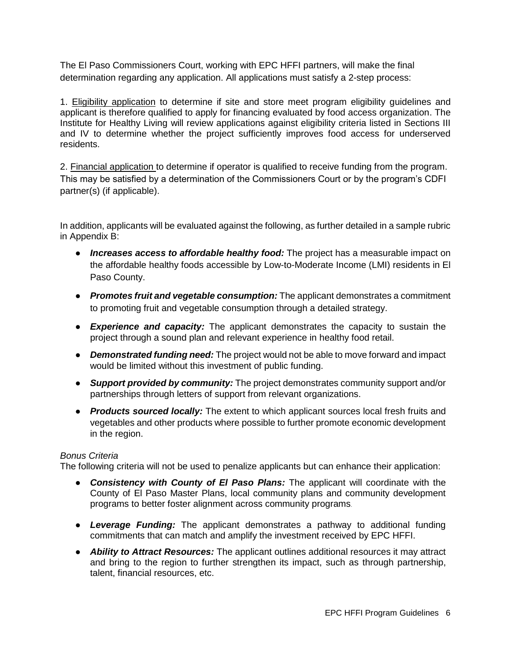The El Paso Commissioners Court, working with EPC HFFI partners, will make the final determination regarding any application. All applications must satisfy a 2-step process:

1. Eligibility application to determine if site and store meet program eligibility guidelines and applicant is therefore qualified to apply for financing evaluated by food access organization. The Institute for Healthy Living will review applications against eligibility criteria listed in Sections III and IV to determine whether the project sufficiently improves food access for underserved residents.

2. Financial application to determine if operator is qualified to receive funding from the program. This may be satisfied by a determination of the Commissioners Court or by the program's CDFI partner(s) (if applicable).

In addition, applicants will be evaluated against the following, as further detailed in a sample rubric in Appendix B:

- **•** *Increases access to affordable healthy food:* The project has a measurable impact on the affordable healthy foods accessible by Low-to-Moderate Income (LMI) residents in El Paso County.
- *Promotes fruit and vegetable consumption:* The applicant demonstrates a commitment to promoting fruit and vegetable consumption through a detailed strategy.
- *Experience and capacity:* The applicant demonstrates the capacity to sustain the project through a sound plan and relevant experience in healthy food retail.
- *Demonstrated funding need:* The project would not be able to move forward and impact would be limited without this investment of public funding.
- *Support provided by community:* The project demonstrates community support and/or partnerships through letters of support from relevant organizations.
- *Products sourced locally:* The extent to which applicant sources local fresh fruits and vegetables and other products where possible to further promote economic development in the region.

### *Bonus Criteria*

The following criteria will not be used to penalize applicants but can enhance their application:

- *Consistency with County of El Paso Plans:* The applicant will coordinate with the County of El Paso Master Plans, local community plans and community development programs to better foster alignment across community programs.
- *Leverage Funding:* The applicant demonstrates a pathway to additional funding commitments that can match and amplify the investment received by EPC HFFI.
- *Ability to Attract Resources:* The applicant outlines additional resources it may attract and bring to the region to further strengthen its impact, such as through partnership, talent, financial resources, etc.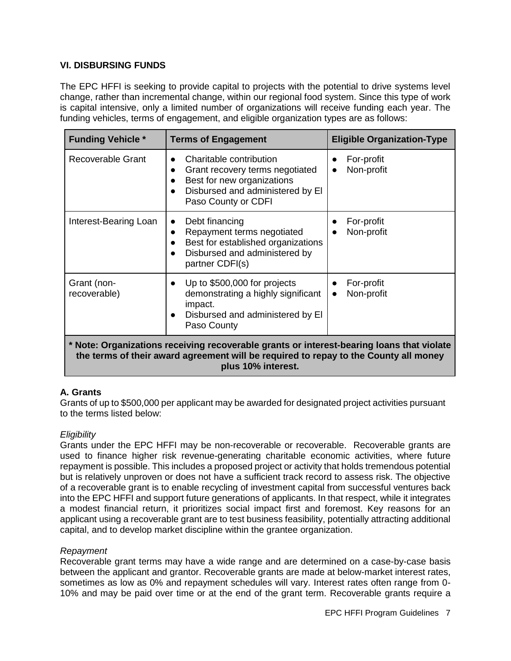### **VI. DISBURSING FUNDS**

The EPC HFFI is seeking to provide capital to projects with the potential to drive systems level change, rather than incremental change, within our regional food system. Since this type of work is capital intensive, only a limited number of organizations will receive funding each year. The funding vehicles, terms of engagement, and eligible organization types are as follows:

| <b>Funding Vehicle *</b>                                                                                                                                                                                | <b>Terms of Engagement</b>                                                                                                                                       | <b>Eligible Organization-Type</b> |  |  |
|---------------------------------------------------------------------------------------------------------------------------------------------------------------------------------------------------------|------------------------------------------------------------------------------------------------------------------------------------------------------------------|-----------------------------------|--|--|
| Recoverable Grant                                                                                                                                                                                       | Charitable contribution<br>Grant recovery terms negotiated<br>Best for new organizations<br>Disbursed and administered by El<br>Paso County or CDFI              | For-profit<br>Non-profit          |  |  |
| Interest-Bearing Loan                                                                                                                                                                                   | Debt financing<br>$\bullet$<br>Repayment terms negotiated<br>$\bullet$<br>Best for established organizations<br>Disbursed and administered by<br>partner CDFI(s) | For-profit<br>Non-profit          |  |  |
| Grant (non-<br>recoverable)                                                                                                                                                                             | Up to \$500,000 for projects<br>demonstrating a highly significant<br>impact.<br>Disbursed and administered by El<br>Paso County                                 | For-profit<br>Non-profit          |  |  |
| * Note: Organizations receiving recoverable grants or interest-bearing loans that violate<br>the terms of their award agreement will be required to repay to the County all money<br>plus 10% interest. |                                                                                                                                                                  |                                   |  |  |

### **A. Grants**

Grants of up to \$500,000 per applicant may be awarded for designated project activities pursuant to the terms listed below:

### *Eligibility*

Grants under the EPC HFFI may be non-recoverable or recoverable. Recoverable grants are used to finance higher risk revenue-generating charitable economic activities, where future repayment is possible. This includes a proposed project or activity that holds tremendous potential but is relatively unproven or does not have a sufficient track record to assess risk. The objective of a recoverable grant is to enable recycling of investment capital from successful ventures back into the EPC HFFI and support future generations of applicants. In that respect, while it integrates a modest financial return, it prioritizes social impact first and foremost. Key reasons for an applicant using a recoverable grant are to test business feasibility, potentially attracting additional capital, and to develop market discipline within the grantee organization.

#### *Repayment*

Recoverable grant terms may have a wide range and are determined on a case-by-case basis between the applicant and grantor. Recoverable grants are made at below-market interest rates, sometimes as low as 0% and repayment schedules will vary. Interest rates often range from 0- 10% and may be paid over time or at the end of the grant term. Recoverable grants require a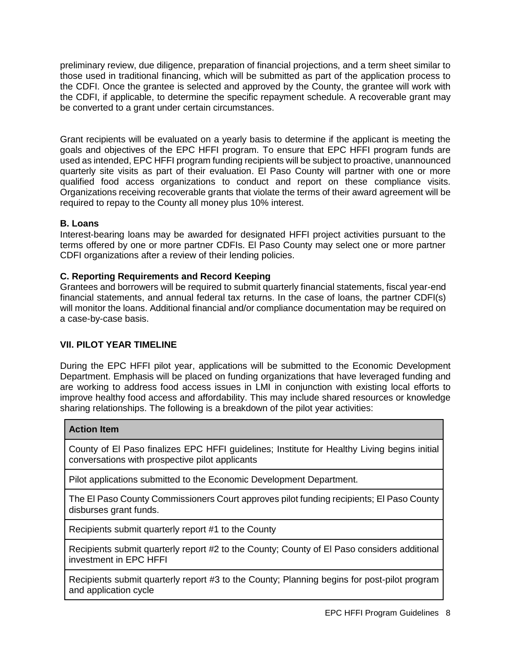preliminary review, due diligence, preparation of financial projections, and a term sheet similar to those used in traditional financing, which will be submitted as part of the application process to the CDFI. Once the grantee is selected and approved by the County, the grantee will work with the CDFI, if applicable, to determine the specific repayment schedule. A recoverable grant may be converted to a grant under certain circumstances.

Grant recipients will be evaluated on a yearly basis to determine if the applicant is meeting the goals and objectives of the EPC HFFI program. To ensure that EPC HFFI program funds are used as intended, EPC HFFI program funding recipients will be subject to proactive, unannounced quarterly site visits as part of their evaluation. El Paso County will partner with one or more qualified food access organizations to conduct and report on these compliance visits. Organizations receiving recoverable grants that violate the terms of their award agreement will be required to repay to the County all money plus 10% interest.

### **B. Loans**

Interest-bearing loans may be awarded for designated HFFI project activities pursuant to the terms offered by one or more partner CDFIs. El Paso County may select one or more partner CDFI organizations after a review of their lending policies.

### **C. Reporting Requirements and Record Keeping**

Grantees and borrowers will be required to submit quarterly financial statements, fiscal year-end financial statements, and annual federal tax returns. In the case of loans, the partner CDFI(s) will monitor the loans. Additional financial and/or compliance documentation may be required on a case-by-case basis.

# **VII. PILOT YEAR TIMELINE**

During the EPC HFFI pilot year, applications will be submitted to the Economic Development Department. Emphasis will be placed on funding organizations that have leveraged funding and are working to address food access issues in LMI in conjunction with existing local efforts to improve healthy food access and affordability. This may include shared resources or knowledge sharing relationships. The following is a breakdown of the pilot year activities:

### **Action Item**

County of El Paso finalizes EPC HFFI guidelines; Institute for Healthy Living begins initial conversations with prospective pilot applicants

Pilot applications submitted to the Economic Development Department.

The El Paso County Commissioners Court approves pilot funding recipients; El Paso County disburses grant funds.

Recipients submit quarterly report #1 to the County

Recipients submit quarterly report #2 to the County; County of El Paso considers additional investment in EPC HFFI

Recipients submit quarterly report #3 to the County; Planning begins for post-pilot program and application cycle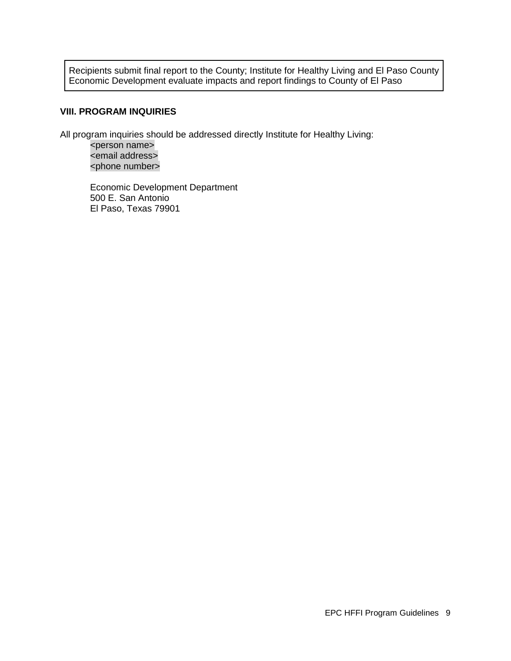Recipients submit final report to the County; Institute for Healthy Living and El Paso County Economic Development evaluate impacts and report findings to County of El Paso

#### **VIII. PROGRAM INQUIRIES**

All program inquiries should be addressed directly Institute for Healthy Living:

<person name> <email address> <phone number>

Economic Development Department 500 E. San Antonio El Paso, Texas 79901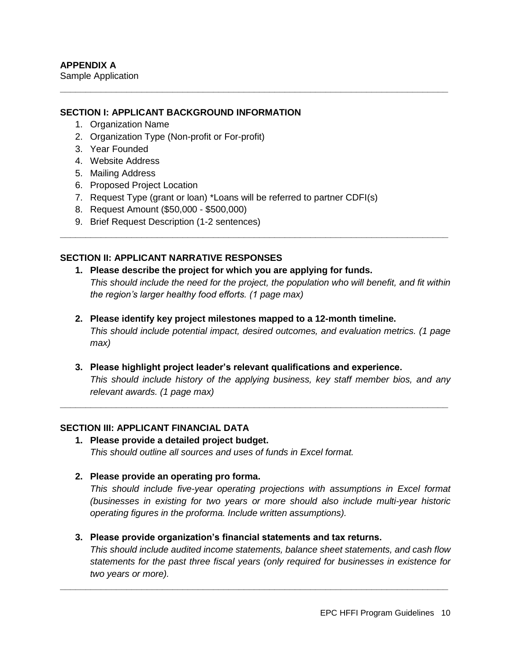### **SECTION I: APPLICANT BACKGROUND INFORMATION**

- 1. Organization Name
- 2. Organization Type (Non-profit or For-profit)
- 3. Year Founded
- 4. Website Address
- 5. Mailing Address
- 6. Proposed Project Location
- 7. Request Type (grant or loan) \*Loans will be referred to partner CDFI(s)
- 8. Request Amount (\$50,000 \$500,000)
- 9. Brief Request Description (1-2 sentences)

### **SECTION II: APPLICANT NARRATIVE RESPONSES**

**1. Please describe the project for which you are applying for funds.** *This should include the need for the project, the population who will benefit, and fit within the region's larger healthy food efforts. (1 page max)*

**\_\_\_\_\_\_\_\_\_\_\_\_\_\_\_\_\_\_\_\_\_\_\_\_\_\_\_\_\_\_\_\_\_\_\_\_\_\_\_\_\_\_\_\_\_\_\_\_\_\_\_\_\_\_\_\_\_\_\_\_\_\_\_\_\_\_\_\_\_\_\_\_\_\_\_\_**

**\_\_\_\_\_\_\_\_\_\_\_\_\_\_\_\_\_\_\_\_\_\_\_\_\_\_\_\_\_\_\_\_\_\_\_\_\_\_\_\_\_\_\_\_\_\_\_\_\_\_\_\_\_\_\_\_\_\_\_\_\_\_\_\_\_\_\_\_\_\_\_\_\_\_\_\_**

- **2. Please identify key project milestones mapped to a 12-month timeline.** *This should include potential impact, desired outcomes, and evaluation metrics. (1 page max)*
- **3. Please highlight project leader's relevant qualifications and experience.** *This should include history of the applying business, key staff member bios, and any relevant awards. (1 page max)*

**\_\_\_\_\_\_\_\_\_\_\_\_\_\_\_\_\_\_\_\_\_\_\_\_\_\_\_\_\_\_\_\_\_\_\_\_\_\_\_\_\_\_\_\_\_\_\_\_\_\_\_\_\_\_\_\_\_\_\_\_\_\_\_\_\_\_\_\_\_\_\_\_\_\_\_\_**

### **SECTION III: APPLICANT FINANCIAL DATA**

- **1. Please provide a detailed project budget.** *This should outline all sources and uses of funds in Excel format.*
- **2. Please provide an operating pro forma.**

*This should include five-year operating projections with assumptions in Excel format (businesses in existing for two years or more should also include multi-year historic operating figures in the proforma. Include written assumptions).*

**3. Please provide organization's financial statements and tax returns.** 

*This should include audited income statements, balance sheet statements, and cash flow statements for the past three fiscal years (only required for businesses in existence for two years or more).*

**\_\_\_\_\_\_\_\_\_\_\_\_\_\_\_\_\_\_\_\_\_\_\_\_\_\_\_\_\_\_\_\_\_\_\_\_\_\_\_\_\_\_\_\_\_\_\_\_\_\_\_\_\_\_\_\_\_\_\_\_\_\_\_\_\_\_\_\_\_\_\_\_\_\_\_\_**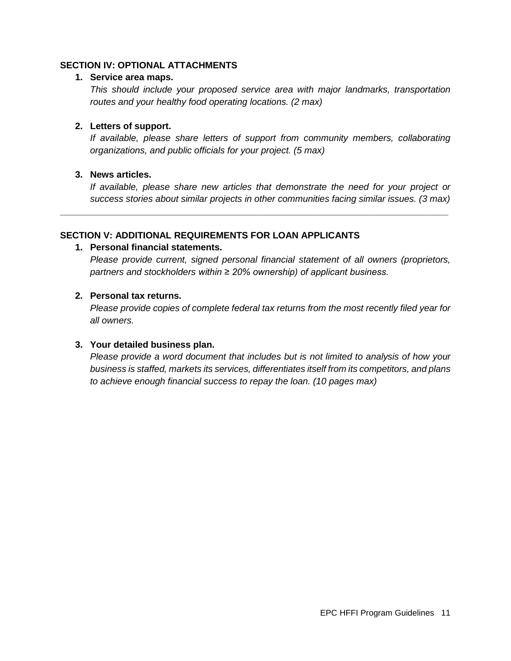### **SECTION IV: OPTIONAL ATTACHMENTS**

#### **1. Service area maps.**

*This should include your proposed service area with major landmarks, transportation routes and your healthy food operating locations. (2 max)*

#### **2. Letters of support.**

*If available, please share letters of support from community members, collaborating organizations, and public officials for your project. (5 max)*

### **3. News articles.**

*If available, please share new articles that demonstrate the need for your project or success stories about similar projects in other communities facing similar issues. (3 max)*

**\_\_\_\_\_\_\_\_\_\_\_\_\_\_\_\_\_\_\_\_\_\_\_\_\_\_\_\_\_\_\_\_\_\_\_\_\_\_\_\_\_\_\_\_\_\_\_\_\_\_\_\_\_\_\_\_\_\_\_\_\_\_\_\_\_\_\_\_\_\_\_\_\_\_\_\_**

#### **SECTION V: ADDITIONAL REQUIREMENTS FOR LOAN APPLICANTS**

#### **1. Personal financial statements.**

*Please provide current, signed personal financial statement of all owners (proprietors, partners and stockholders within ≥ 20% ownership) of applicant business.* 

#### **2. Personal tax returns.**

*Please provide copies of complete federal tax returns from the most recently filed year for all owners.*

### **3. Your detailed business plan.**

*Please provide a word document that includes but is not limited to analysis of how your business is staffed, markets its services, differentiates itself from its competitors, and plans to achieve enough financial success to repay the loan. (10 pages max)*